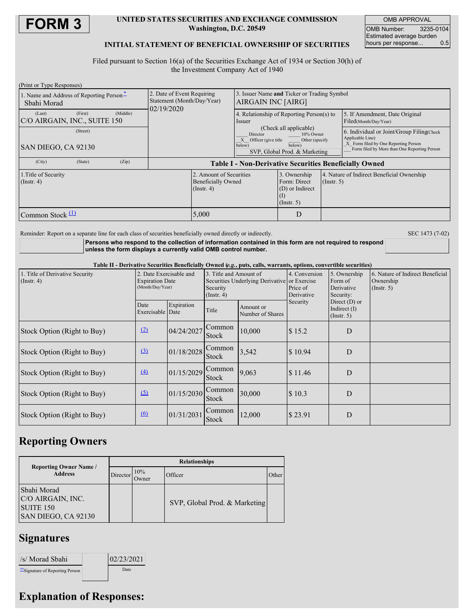

#### **UNITED STATES SECURITIES AND EXCHANGE COMMISSION Washington, D.C. 20549**

OMB APPROVAL OMB Number: 3235-0104 Estimated average burden<br>hours per response... 0.5 hours per response...

### **INITIAL STATEMENT OF BENEFICIAL OWNERSHIP OF SECURITIES**

Filed pursuant to Section 16(a) of the Securities Exchange Act of 1934 or Section 30(h) of the Investment Company Act of 1940

| (Print or Type Responses)                                                                                            |                                                                        |                                                                                                                                                 |                                                                            |                                                                |                                                                                                                                                       |
|----------------------------------------------------------------------------------------------------------------------|------------------------------------------------------------------------|-------------------------------------------------------------------------------------------------------------------------------------------------|----------------------------------------------------------------------------|----------------------------------------------------------------|-------------------------------------------------------------------------------------------------------------------------------------------------------|
| 1. Name and Address of Reporting Person-<br>Sbahi Morad                                                              | 2. Date of Event Requiring<br>Statement (Month/Day/Year)<br>02/19/2020 | 3. Issuer Name and Ticker or Trading Symbol<br>AIRGAIN INC [AIRG]                                                                               |                                                                            |                                                                |                                                                                                                                                       |
| (Middle)<br>(First)<br>(Last)<br>C/O AIRGAIN, INC., SUITE 150                                                        |                                                                        | Issuer                                                                                                                                          | 4. Relationship of Reporting Person(s) to                                  |                                                                | 5. If Amendment, Date Original<br>Filed(Month/Day/Year)                                                                                               |
| (Street)<br>SAN DIEGO, CA 92130                                                                                      |                                                                        | (Check all applicable)<br>10% Owner<br>Director<br>X Officer (give title<br>Other (specify<br>below)<br>below)<br>SVP, Global Prod. & Marketing |                                                                            |                                                                | 6. Individual or Joint/Group Filing Check<br>Applicable Line)<br>X Form filed by One Reporting Person<br>Form filed by More than One Reporting Person |
| (City)<br>(State)<br>(Zip)                                                                                           | <b>Table I - Non-Derivative Securities Beneficially Owned</b>          |                                                                                                                                                 |                                                                            |                                                                |                                                                                                                                                       |
| 2. Amount of Securities<br>1. Title of Security<br><b>Beneficially Owned</b><br>$($ Instr. 4 $)$<br>$($ Instr. 4 $)$ |                                                                        |                                                                                                                                                 | 3. Ownership<br>Form: Direct<br>(D) or Indirect<br>(1)<br>$($ Instr. 5 $)$ | 4. Nature of Indirect Beneficial Ownership<br>$($ Instr. 5 $)$ |                                                                                                                                                       |
| Common Stock $(1)$                                                                                                   | 5,000                                                                  |                                                                                                                                                 | D                                                                          |                                                                |                                                                                                                                                       |

Reminder: Report on a separate line for each class of securities beneficially owned directly or indirectly. SEC 1473 (7-02)

**Persons who respond to the collection of information contained in this form are not required to respond unless the form displays a currently valid OMB control number.**

Table II - Derivative Securities Beneficially Owned (e.g., puts, calls, warrants, options, convertible securities)

| 1. Title of Derivative Security<br>$($ Instr. 4 $)$ | 2. Date Exercisable and<br><b>Expiration Date</b><br>(Month/Day/Year) |            | 3. Title and Amount of<br>Securities Underlying Derivative or Exercise<br>Security<br>$($ Instr. 4 $)$ |                               | 4. Conversion<br>Price of<br>Derivative | 5. Ownership<br>Form of<br>Derivative<br>Security:    | 6. Nature of Indirect Beneficial<br>Ownership<br>$($ Instr. 5 $)$ |
|-----------------------------------------------------|-----------------------------------------------------------------------|------------|--------------------------------------------------------------------------------------------------------|-------------------------------|-----------------------------------------|-------------------------------------------------------|-------------------------------------------------------------------|
|                                                     | Date<br>Exercisable Date                                              | Expiration | Title                                                                                                  | Amount or<br>Number of Shares | Security                                | Direct $(D)$ or<br>Indirect $(I)$<br>$($ Instr. 5 $)$ |                                                                   |
| Stock Option (Right to Buy)                         | (2)                                                                   | 04/24/2027 | Common<br><b>Stock</b>                                                                                 | 10,000                        | \$15.2                                  | D                                                     |                                                                   |
| Stock Option (Right to Buy)                         | $\left(3\right)$                                                      | 01/18/2028 | Common<br>Stock                                                                                        | 3,542                         | \$10.94                                 | D                                                     |                                                                   |
| Stock Option (Right to Buy)                         | $\underline{(4)}$                                                     | 01/15/2029 | Common<br><b>Stock</b>                                                                                 | 9,063                         | $\$\,11.46$                             | D                                                     |                                                                   |
| Stock Option (Right to Buy)                         | $\sqrt{5}$                                                            | 01/15/2030 | Common<br><b>Stock</b>                                                                                 | 30,000                        | \$10.3                                  | D                                                     |                                                                   |
| Stock Option (Right to Buy)                         | 6                                                                     | 01/31/2031 | Common<br>Stock                                                                                        | 12,000                        | \$23.91                                 | D                                                     |                                                                   |

## **Reporting Owners**

| <b>Reporting Owner Name</b> /<br><b>Address</b>                                 | <b>Relationships</b> |              |                               |       |  |  |
|---------------------------------------------------------------------------------|----------------------|--------------|-------------------------------|-------|--|--|
|                                                                                 | Director             | 10%<br>Owner | Officer                       | Other |  |  |
| Sbahi Morad<br>C/O AIRGAIN, INC.<br>SUITE <sub>150</sub><br>SAN DIEGO, CA 92130 |                      |              | SVP, Global Prod. & Marketing |       |  |  |

## **Signatures**

| /s/ Morad Sbahi                  | 02/23/2021 |
|----------------------------------|------------|
| ** Signature of Reporting Person | Date       |

# **Explanation of Responses:**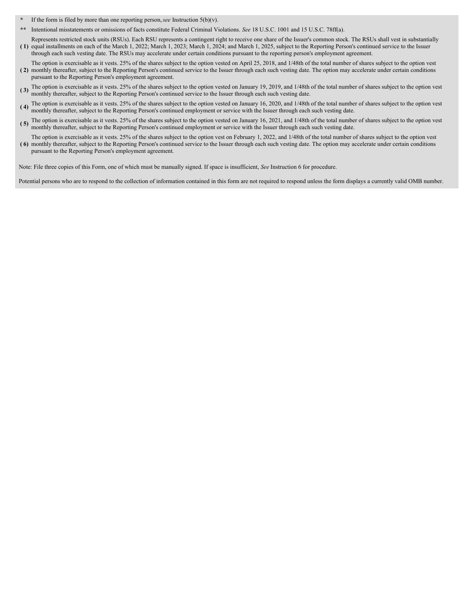- **\*** If the form is filed by more than one reporting person,*see* Instruction 5(b)(v).
- **\*\*** Intentional misstatements or omissions of facts constitute Federal Criminal Violations. *See* 18 U.S.C. 1001 and 15 U.S.C. 78ff(a).
- **( 1)** equal installments on each of the March 1, 2022; March 1, 2023; March 1, 2024; and March 1, 2025, subject to the Reporting Person's continued service to the Issuer Represents restricted stock units (RSUs). Each RSU represents a contingent right to receive one share of the Issuer's common stock. The RSUs shall vest in substantially through each such vesting date. The RSUs may accelerate under certain conditions pursuant to the reporting person's employment agreement.
- **( 2)** monthly thereafter, subject to the Reporting Person's continued service to the Issuer through each such vesting date. The option may accelerate under certain conditions The option is exercisable as it vests. 25% of the shares subject to the option vested on April 25, 2018, and 1/48th of the total number of shares subject to the option vest pursuant to the Reporting Person's employment agreement.
- **( 3)** The option is exercisable as it vests. 25% of the shares subject to the option vested on January 19, 2019, and 1/48th of the total number of shares subject to the option vest monthly thereafter, subject to the Reporting Person's continued service to the Issuer through each such vesting date.
- **( 4)** The option is exercisable as it vests. 25% of the shares subject to the option vested on January 16, 2020, and 1/48th of the total number of shares subject to the option vest monthly thereafter, subject to the Reporting Person's continued employment or service with the Issuer through each such vesting date.
- (5) The option is exercisable as it vests. 25% of the shares subject to the option vested on January 16, 2021, and 1/48th of the total number of shares subject to the option vest monthly thereafter, subject to the Reporting Person's continued employment or service with the Issuer through each such vesting date.
- **( 6)** monthly thereafter, subject to the Reporting Person's continued service to the Issuer through each such vesting date. The option may accelerate under certain conditions The option is exercisable as it vests. 25% of the shares subject to the option vest on February 1, 2022, and 1/48th of the total number of shares subject to the option vest pursuant to the Reporting Person's employment agreement.

Note: File three copies of this Form, one of which must be manually signed. If space is insufficient, *See* Instruction 6 for procedure.

Potential persons who are to respond to the collection of information contained in this form are not required to respond unless the form displays a currently valid OMB number.